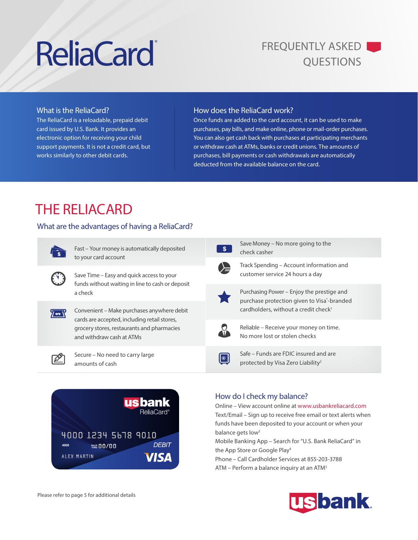# ReliaCard<sup>\*</sup> FREQUENTLY ASKED

#### What is the ReliaCard?

The ReliaCard is a reloadable, prepaid debit card issued by U.S. Bank. It provides an electronic option for receiving your child support payments. It is not a credit card, but works similarly to other debit cards.

#### How does the ReliaCard work?

Once funds are added to the card account, it can be used to make purchases, pay bills, and make online, phone or mail-order purchases. You can also get cash back with purchases at participating merchants or withdraw cash at ATMs, banks or credit unions. The amounts of purchases, bill payments or cash withdrawals are automatically deducted from the available balance on the card.

### THE RELIACARD

#### What are the advantages of having a ReliaCard?



EN B

Fast – Your money is automatically deposited to your card account

Save Time – Easy and quick access to your funds without waiting in line to cash or deposit a check



Convenient – Make purchases anywhere debit cards are accepted, including retail stores, grocery stores, restaurants and pharmacies and withdraw cash at ATMs



Secure – No need to carry large amounts of cash



|  | Save Money – No more going to the<br>check casher                                                                                                        |
|--|----------------------------------------------------------------------------------------------------------------------------------------------------------|
|  | Track Spending – Account information and<br>customer service 24 hours a day                                                                              |
|  | Purchasing Power – Enjoy the prestige and<br>purchase protection given to Visa <sup>*</sup> -branded<br>cardholders, without a credit check <sup>1</sup> |
|  | Reliable – Receive your money on time.<br>No more lost or stolen checks                                                                                  |
|  | Safe – Funds are FDIC insured and are<br>protected by Visa Zero Liability <sup>2</sup>                                                                   |
|  |                                                                                                                                                          |

### How do I check my balance?

Online – View account online at www.usbankreliacard.com Text/Email – Sign up to receive free email or text alerts when funds have been deposited to your account or when your balance gets low<sup>3</sup> Mobile Banking App – Search for "U.S. Bank ReliaCard" in the App Store or Google Play4 Phone – Call Cardholder Services at 855-203-3788 ATM – Perform a balance inquiry at an ATM5

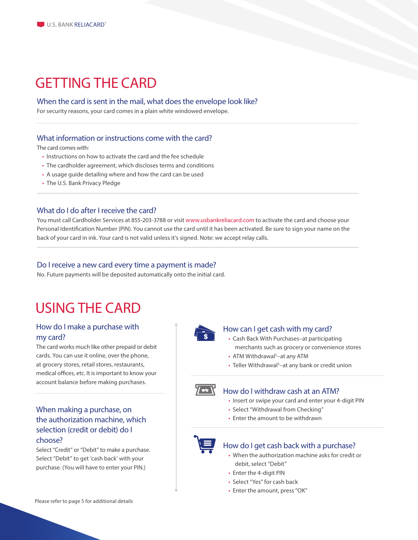### GETTING THE CARD

#### When the card is sent in the mail, what does the envelope look like?

For security reasons, your card comes in a plain white windowed envelope.

#### What information or instructions come with the card?

The card comes with:

- Instructions on how to activate the card and the fee schedule
- The cardholder agreement, which discloses terms and conditions
- A usage guide detailing where and how the card can be used
- The U.S. Bank Privacy Pledge

#### What do I do after I receive the card?

You must call Cardholder Services at 855-203-3788 or visit www.usbankreliacard.com to activate the card and choose your Personal Identification Number (PIN). You cannot use the card until it has been activated. Be sure to sign your name on the back of your card in ink. Your card is not valid unless it's signed. Note: we accept relay calls.

#### Do I receive a new card every time a payment is made?

No. Future payments will be deposited automatically onto the initial card.

### USING THE CARD

#### How do I make a purchase with my card?

The card works much like other prepaid or debit cards. You can use it online, over the phone, at grocery stores, retail stores, restaurants, medical offices, etc. It is important to know your account balance before making purchases.

#### When making a purchase, on the authorization machine, which selection (credit or debit) do I choose?

Select "Credit" or "Debit" to make a purchase. Select "Debit" to get 'cash back' with your purchase. (You will have to enter your PIN.)



#### How can I get cash with my card?

- Cash Back With Purchases–at participating merchants such as grocery or convenience stores
- ATM Withdrawal<sup>5</sup>-at any ATM
- Teller Withdrawal<sup>5</sup>-at any bank or credit union



#### How do I withdraw cash at an ATM?

- Insert or swipe your card and enter your 4-digit PIN
- Select "Withdrawal from Checking"
- Enter the amount to be withdrawn



#### How do I get cash back with a purchase?

- When the authorization machine asks for credit or debit, select "Debit"
- Enter the 4-digit PIN
- Select "Yes" for cash back
- Enter the amount, press "OK"

Please refer to page 5 for additional details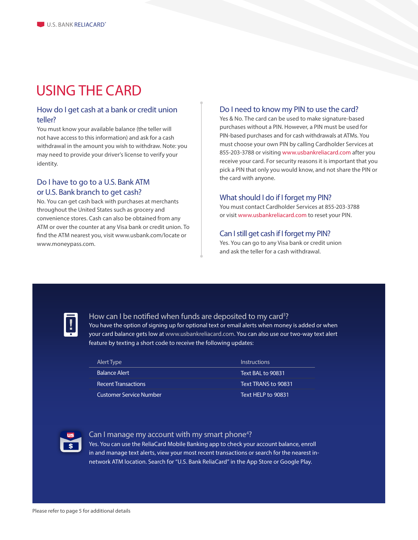### USING THE CARD

#### How do I get cash at a bank or credit union teller?

You must know your available balance (the teller will not have access to this information) and ask for a cash withdrawal in the amount you wish to withdraw. Note: you may need to provide your driver's license to verify your identity.

#### Do I have to go to a U.S. Bank ATM or U.S. Bank branch to get cash?

No. You can get cash back with purchases at merchants throughout the United States such as grocery and convenience stores. Cash can also be obtained from any ATM or over the counter at any Visa bank or credit union. To find the ATM nearest you, visit www.usbank.com/locate or www.moneypass.com.

#### Do I need to know my PIN to use the card?

Yes & No. The card can be used to make signature-based purchases without a PIN. However, a PIN must be used for PIN-based purchases and for cash withdrawals at ATMs. You must choose your own PIN by calling Cardholder Services at 855-203-3788 or visiting www.usbankreliacard.com after you receive your card. For security reasons it is important that you pick a PIN that only you would know, and not share the PIN or the card with anyone.

#### What should I do if I forget my PIN?

You must contact Cardholder Services at 855-203-3788 or visit www.usbankreliacard.com to reset your PIN.

#### Can I still get cash if I forget my PIN?

Yes. You can go to any Visa bank or credit union and ask the teller for a cash withdrawal.



#### How can I be notified when funds are deposited to my card<sup>3</sup>?

You have the option of signing up for optional text or email alerts when money is added or when your card balance gets low at www.usbankreliacard.com. You can also use our two-way text alert feature by texting a short code to receive the following updates:

| Alert Type                     | Instructions               |
|--------------------------------|----------------------------|
| <b>Balance Alert</b>           | Text BAL to 90831          |
| <b>Recent Transactions</b>     | Text TRANS to 90831        |
| <b>Customer Service Number</b> | <b>Text HFI P to 90831</b> |



#### Can I manage my account with my smart phone<sup>4</sup>?

Yes. You can use the ReliaCard Mobile Banking app to check your account balance, enroll in and manage text alerts, view your most recent transactions or search for the nearest innetwork ATM location. Search for "U.S. Bank ReliaCard" in the App Store or Google Play.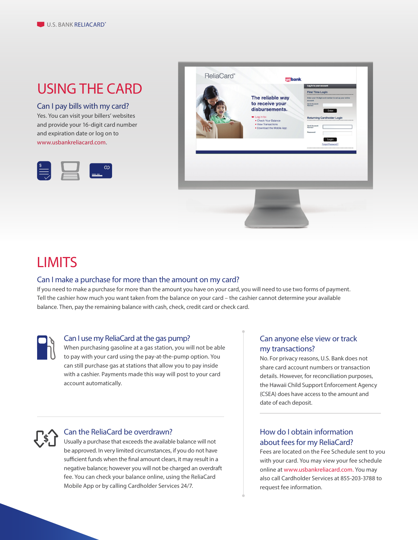### USING THE CARD

#### Can I pay bills with my card?

Yes. You can visit your billers' websites and provide your 16-digit card number and expiration date or log on to www.usbankreliacard.com.





### LIMITS

#### Can I make a purchase for more than the amount on my card?

If you need to make a purchase for more than the amount you have on your card, you will need to use two forms of payment. Tell the cashier how much you want taken from the balance on your card – the cashier cannot determine your available balance. Then, pay the remaining balance with cash, check, credit card or check card.



#### Can I use my ReliaCard at the gas pump?

When purchasing gasoline at a gas station, you will not be able to pay with your card using the pay-at-the-pump option. You can still purchase gas at stations that allow you to pay inside with a cashier. Payments made this way will post to your card account automatically.

#### Can anyone else view or track my transactions?

No. For privacy reasons, U.S. Bank does not share card account numbers or transaction details. However, for reconciliation purposes, the Hawaii Child Support Enforcement Agency (CSEA) does have access to the amount and date of each deposit.



#### Can the ReliaCard be overdrawn?

Usually a purchase that exceeds the available balance will not be approved. In very limited circumstances, if you do not have sufficient funds when the final amount clears, it may result in a negative balance; however you will not be charged an overdraft fee. You can check your balance online, using the ReliaCard Mobile App or by calling Cardholder Services 24/7.

### How do I obtain information about fees for my ReliaCard?

Fees are located on the Fee Schedule sent to you with your card. You may view your fee schedule online at www.usbankreliacard.com. You may also call Cardholder Services at 855-203-3788 to request fee information.